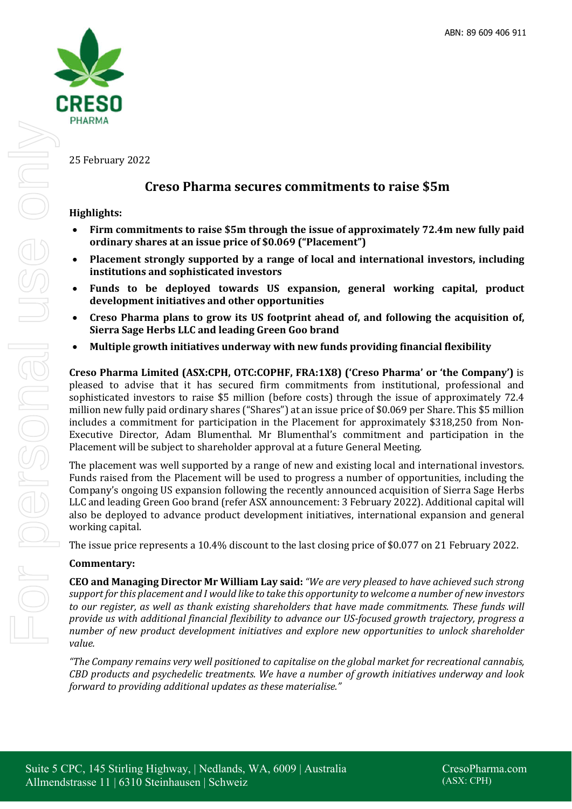

25 February 2022

# **Creso Pharma secures commitments to raise \$5m**

# **Highlights:**

- **Firm commitments to raise \$5m through the issue of approximately 72.4m new fully paid ordinary shares at an issue price of \$0.069 ("Placement")**
- **Placement strongly supported by a range of local and international investors, including institutions and sophisticated investors**
- **Funds to be deployed towards US expansion, general working capital, product development initiatives and other opportunities**
- **Creso Pharma plans to grow its US footprint ahead of, and following the acquisition of, Sierra Sage Herbs LLC and leading Green Goo brand**
- **Multiple growth initiatives underway with new funds providing financial flexibility**

**Creso Pharma Limited (ASX:CPH, OTC:COPHF, FRA:1X8) ('Creso Pharma' or 'the Company')** is pleased to advise that it has secured firm commitments from institutional, professional and sophisticated investors to raise \$5 million (before costs) through the issue of approximately 72.4 million new fully paid ordinary shares ("Shares") at an issue price of \$0.069 per Share. This \$5 million includes a commitment for participation in the Placement for approximately \$318,250 from Non-Executive Director, Adam Blumenthal. Mr Blumenthal's commitment and participation in the Placement will be subject to shareholder approval at a future General Meeting.

The placement was well supported by a range of new and existing local and international investors. Funds raised from the Placement will be used to progress a number of opportunities, including the Company's ongoing US expansion following the recently announced acquisition of Sierra Sage Herbs LLC and leading Green Goo brand (refer ASX announcement: 3 February 2022). Additional capital will also be deployed to advance product development initiatives, international expansion and general working capital.

The issue price represents a 10.4% discount to the last closing price of \$0.077 on 21 February 2022.

## **Commentary:**

**CEO and Managing Director Mr William Lay said:** *"We are very pleased to have achieved such strong support for this placement and I would like to take this opportunity to welcome a number of new investors to our register, as well as thank existing shareholders that have made commitments. These funds will provide us with additional financial flexibility to advance our US-focused growth trajectory, progress a number of new product development initiatives and explore new opportunities to unlock shareholder value.* 

*"The Company remains very well positioned to capitalise on the global market for recreational cannabis, CBD products and psychedelic treatments. We have a number of growth initiatives underway and look forward to providing additional updates as these materialise."*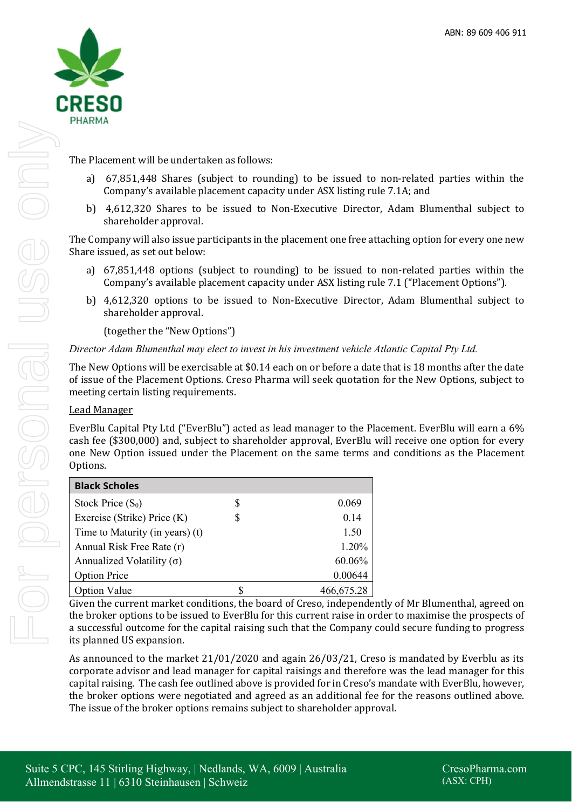

The Placement will be undertaken as follows:

- a) 67,851,448 Shares (subject to rounding) to be issued to non-related parties within the Company's available placement capacity under ASX listing rule 7.1A; and
- b) 4,612,320 Shares to be issued to Non-Executive Director, Adam Blumenthal subject to shareholder approval.

The Company will also issue participants in the placement one free attaching option for every one new Share issued, as set out below:

- a) 67,851,448 options (subject to rounding) to be issued to non-related parties within the Company's available placement capacity under ASX listing rule 7.1 ("Placement Options").
- b) 4,612,320 options to be issued to Non-Executive Director, Adam Blumenthal subject to shareholder approval.

(together the "New Options")

*Director Adam Blumenthal may elect to invest in his investment vehicle Atlantic Capital Pty Ltd.* 

The New Options will be exercisable at \$0.14 each on or before a date that is 18 months after the date of issue of the Placement Options. Creso Pharma will seek quotation for the New Options, subject to meeting certain listing requirements.

## Lead Manager

EverBlu Capital Pty Ltd ("EverBlu") acted as lead manager to the Placement. EverBlu will earn a 6% cash fee (\$300,000) and, subject to shareholder approval, EverBlu will receive one option for every one New Option issued under the Placement on the same terms and conditions as the Placement Options.

| <b>Black Scholes</b>             |   |            |
|----------------------------------|---|------------|
| Stock Price $(S_0)$              | S | 0.069      |
| Exercise (Strike) Price (K)      | S | 0.14       |
| Time to Maturity (in years) (t)  |   | 1.50       |
| Annual Risk Free Rate (r)        |   | 1.20%      |
| Annualized Volatility $(\sigma)$ |   | 60.06%     |
| <b>Option Price</b>              |   | 0.00644    |
| <b>Option Value</b>              |   | 466,675.28 |

Given the current market conditions, the board of Creso, independently of Mr Blumenthal, agreed on the broker options to be issued to EverBlu for this current raise in order to maximise the prospects of a successful outcome for the capital raising such that the Company could secure funding to progress its planned US expansion.

As announced to the market 21/01/2020 and again 26/03/21, Creso is mandated by Everblu as its corporate advisor and lead manager for capital raisings and therefore was the lead manager for this capital raising. The cash fee outlined above is provided for in Creso's mandate with EverBlu, however, the broker options were negotiated and agreed as an additional fee for the reasons outlined above. The issue of the broker options remains subject to shareholder approval.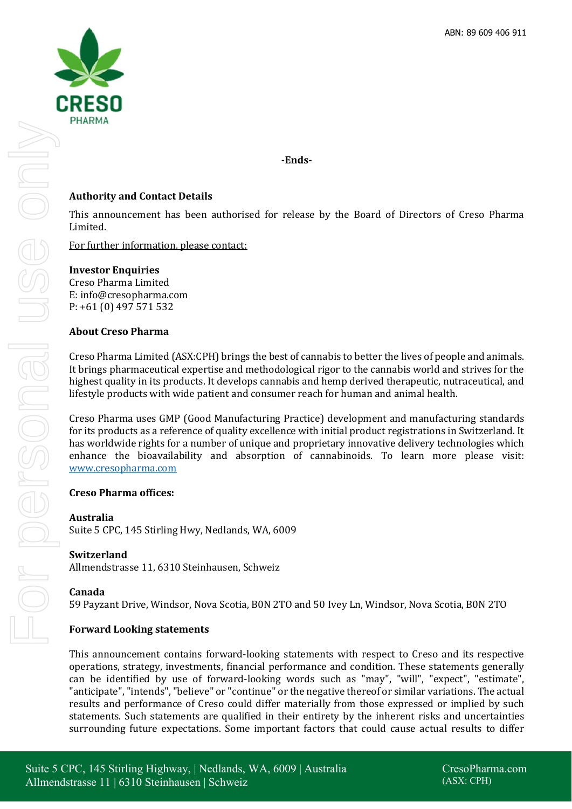

**-Ends-**

# **Authority and Contact Details**

This announcement has been authorised for release by the Board of Directors of Creso Pharma Limited.

For further information, please contact:

## **Investor Enquiries**

Creso Pharma Limited E: info@cresopharma.com P: +61 (0) 497 571 532

## **About Creso Pharma**

Creso Pharma Limited (ASX:CPH) brings the best of cannabis to better the lives of people and animals. It brings pharmaceutical expertise and methodological rigor to the cannabis world and strives for the highest quality in its products. It develops cannabis and hemp derived therapeutic, nutraceutical, and lifestyle products with wide patient and consumer reach for human and animal health.

Creso Pharma uses GMP (Good Manufacturing Practice) development and manufacturing standards for its products as a reference of quality excellence with initial product registrations in Switzerland. It has worldwide rights for a number of unique and proprietary innovative delivery technologies which enhance the bioavailability and absorption of cannabinoids. To learn more please visit: www.cresopharma.com

## **Creso Pharma offices:**

### **Australia**

Suite 5 CPC, 145 Stirling Hwy, Nedlands, WA, 6009

## **Switzerland**

Allmendstrasse 11, 6310 Steinhausen, Schweiz

### **Canada**

59 Payzant Drive, Windsor, Nova Scotia, B0N 2TO and 50 Ivey Ln, Windsor, Nova Scotia, B0N 2TO

## **Forward Looking statements**

This announcement contains forward-looking statements with respect to Creso and its respective operations, strategy, investments, financial performance and condition. These statements generally can be identified by use of forward-looking words such as "may", "will", "expect", "estimate", "anticipate", "intends", "believe" or "continue" or the negative thereof or similar variations. The actual results and performance of Creso could differ materially from those expressed or implied by such statements. Such statements are qualified in their entirety by the inherent risks and uncertainties surrounding future expectations. Some important factors that could cause actual results to differ